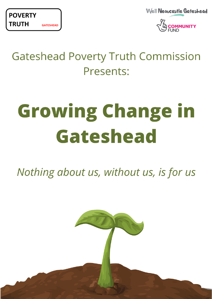

Well Newcastle Gateshead



# **Gateshead Poverty Truth Commission** Presents:

# **Growing Change in** Gateshead

Nothing about us, without us, is for us

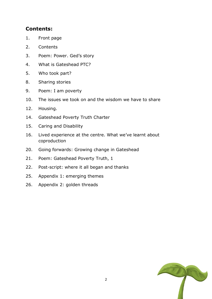#### **Contents:**

- 1. Front page
- 2. Contents
- 3. Poem: Power. Ged's story
- 4. What is Gateshead PTC?
- 5. Who took part?
- 8. Sharing stories
- 9. Poem: I am poverty
- 10. The issues we took on and the wisdom we have to share
- 12. Housing.
- 14. Gateshead Poverty Truth Charter
- 15. Caring and Disability
- 16. Lived experience at the centre. What we've learnt about coproduction
- 20. Going forwards: Growing change in Gateshead
- 21. Poem: Gateshead Poverty Truth, 1
- 22. Post-script: where it all began and thanks
- 25. Appendix 1: emerging themes
- 26. Appendix 2: golden threads

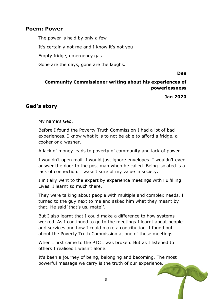#### **Poem: Power**

The power is held by only a few It's certainly not me and I know it's not you Empty fridge, emergency gas Gone are the days, gone are the laughs.

**Dee** 

#### **Community Commissioner writing about his experiences of powerlessness**

**Jan 2020**

#### **Ged's story**

My name's Ged.

Before I found the Poverty Truth Commission I had a lot of bad experiences. I know what it is to not be able to afford a fridge, a cooker or a washer.

A lack of money leads to poverty of community and lack of power.

I wouldn't open mail, I would just ignore envelopes. I wouldn't even answer the door to the post man when he called. Being isolated is a lack of connection. I wasn't sure of my value in society.

I initially went to the expert by experience meetings with Fulfilling Lives. I learnt so much there.

They were talking about people with multiple and complex needs. I turned to the guy next to me and asked him what they meant by that. He said 'that's us, mate!'.

But I also learnt that I could make a difference to how systems worked. As I continued to go to the meetings I learnt about people and services and how I could make a contribution. I found out about the Poverty Truth Commission at one of these meetings.

When I first came to the PTC I was broken. But as I listened to others I realised I wasn't alone.

It's been a journey of being, belonging and becoming. The most powerful message we carry is the truth of our experience.

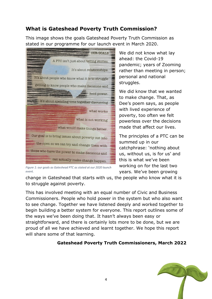# **What is Gateshead Poverty Truth Commission?**

This image shows the goals Gateshead Poverty Truth Commission as stated in our programme for our launch event in March 2020.



We did not know what lay ahead: the Covid-19 pandemic; years of Zooming rather than meeting in person; personal and national struggles.

We did know that we wanted to make change. That, as Dee's poem says, as people with lived experience of poverty, too often we felt powerless over the decisions made that affect our lives.

The principles of a PTC can be summed up in our catchphrase: 'nothing about us, without us, is for us' and this is what we've been working on for the last two years. We've been growing

*Figure 1: our goals as Gateshead PTC as stated at our 2020 launch event.*

change in Gateshead that starts with us, the people who know what it is to struggle against poverty.

This has involved meeting with an equal number of Civic and Business Commissioners. People who hold power in the system but who also want to see change. Together we have listened deeply and worked together to begin building a better system for everyone. This report outlines some of the ways we've been doing that. It hasn't always been easy or straightforward, and there is certainly lots more to be done, but we are proud of all we have achieved and learnt together. We hope this report will share some of that learning.

#### **Gateshead Poverty Truth Commissioners, March 2022**

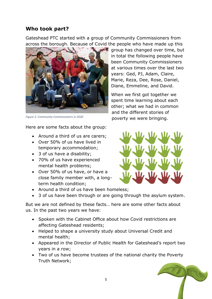# **Who took part?**

Gateshead PTC started with a group of Community Commissioners from across the borough. Because of Covid the people who have made up this



*Figure 2: Community Commissioners in 2020*

Here are some facts about the group:

- Around a third of us are carers;
- Over 50% of us have lived in temporary accommodation;
- 3 of us have a disability;
- 70% of us have experienced mental health problems;
- Over 50% of us have, or have a close family member with, a longterm health condition;

group has changed over time, but in total the following people have been Community Commissioners at various times over the last two years: Ged, PJ, Adam, Claire, Marie, Reza, Dee, Rose, Daniel, Diane, Emmeline, and David.

When we first got together we spent time learning about each other; what we had in common and the different stories of poverty we were bringing.



- Around a third of us have been homeless;
- 3 of us have been through or are going through the asylum system.

But we are not defined by these facts… here are some other facts about us. In the past two years we have:

- Spoken with the Cabinet Office about how Covid restrictions are affecting Gateshead residents;
- Helped to shape a university study about Universal Credit and mental health;
- Appeared in the Director of Public Health for Gateshead's report two years in a row;
- Two of us have become trustees of the national charity the Poverty Truth Network;

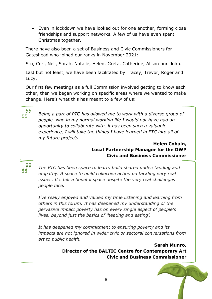• Even in lockdown we have looked out for one another, forming close friendships and support networks. A few of us have even spent Christmas together.

There have also been a set of Business and Civic Commissioners for Gateshead who joined our ranks in November 2021:

Stu, Ceri, Neil, Sarah, Natalie, Helen, Greta, Catherine, Alison and John.

Last but not least, we have been facilitated by Tracey, Trevor, Roger and Lucy.

Our first few meetings as a full Commission involved getting to know each other, then we began working on specific areas where we wanted to make change. Here's what this has meant to a few of us:

99 **GG** 

*Being a part of PTC has allowed me to work with a diverse group of people, who in my normal working life I would not have had an opportunity to collaborate with, it has been such a valuable experience, I will take the things I have learned in PTC into all of my future projects.*

> **Helen Cobain, Local Partnership Manager for the DWP Civic and Business Commissioner**

99 *The PTC has been space to learn, build shared understanding and*  GG *empathy. A space to build collective action on tackling very real issues. It's felt a hopeful space despite the very real challenges people face.*

> *I've really enjoyed and valued my time listening and learning from others in this forum. It has deepened my understanding of the pervasive impact poverty has on every single aspect of people's lives, beyond just the basics of 'heating and eating'.*

*It has deepened my commitment to ensuring poverty and its impacts are not ignored in wider civic or sectoral conversations from art to public health.*

> **Sarah Munro, Director of the BALTIC Centre for Contemporary Art Civic and Business Commissioner**

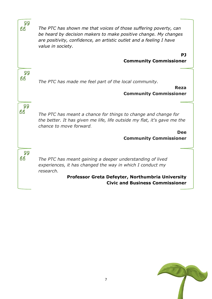| 99<br>GG | The PTC has shown me that voices of those suffering poverty, can<br>be heard by decision makers to make positive change. My changes<br>are positivity, confidence, an artistic outlet and a feeling I have<br>value in society. |
|----------|---------------------------------------------------------------------------------------------------------------------------------------------------------------------------------------------------------------------------------|
|          | PJ<br><b>Community Commissioner</b>                                                                                                                                                                                             |
|          |                                                                                                                                                                                                                                 |
| 99       |                                                                                                                                                                                                                                 |
| GG       | The PTC has made me feel part of the local community.                                                                                                                                                                           |
|          | <b>Reza</b><br><b>Community Commissioner</b>                                                                                                                                                                                    |
| 99<br>GG | The PTC has meant a chance for things to change and change for<br>the better. It has given me life, life outside my flat, it's gave me the<br>chance to move forward.                                                           |
|          | <b>Dee</b>                                                                                                                                                                                                                      |
|          | <b>Community Commissioner</b>                                                                                                                                                                                                   |
| 99<br>GG | The PTC has meant gaining a deeper understanding of lived<br>experiences, it has changed the way in which I conduct my<br>research.<br>Professor Greta Defeyter, Northumbria University                                         |
|          | <b>Civic and Business Commissioner</b>                                                                                                                                                                                          |
|          |                                                                                                                                                                                                                                 |

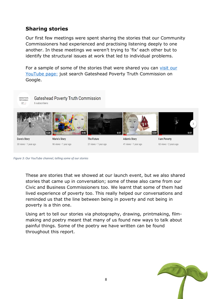# **Sharing stories**

Our first few meetings were spent sharing the stories that our Community Commissioners had experienced and practising listening deeply to one another. In these meetings we weren't trying to 'fix' each other but to identify the structural issues at work that led to individual problems.

For a sample of some of the stories that were shared you can [visit our](https://www.youtube.com/channel/UC55MpipEKD4irsFD0yIDlsg)  [YouTube page:](https://www.youtube.com/channel/UC55MpipEKD4irsFD0yIDlsg) just search Gateshead Poverty Truth Commission on Google.



```
Figure 3: Our YouTube channel, telling some of our stories
```
These are stories that we showed at our launch event, but we also shared stories that came up in conversation; some of these also came from our Civic and Business Commissioners too. We learnt that some of them had lived experience of poverty too. This really helped our conversations and reminded us that the line between being in poverty and not being in poverty is a thin one.

Using art to tell our stories via photography, drawing, printmaking, filmmaking and poetry meant that many of us found new ways to talk about painful things. Some of the poetry we have written can be found throughout this report.

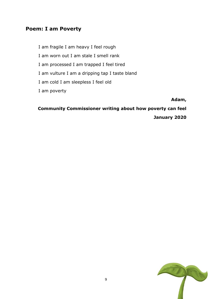#### **Poem: I am Poverty**

I am fragile I am heavy I feel rough

I am worn out I am stale I smell rank

- I am processed I am trapped I feel tired
- I am vulture I am a dripping tap I taste bland
- I am cold I am sleepless I feel old

I am poverty

**Adam,**

**Community Commissioner writing about how poverty can feel**

**January 2020**

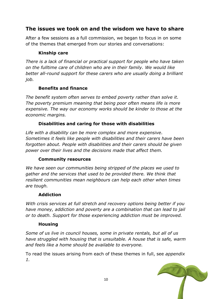# **The issues we took on and the wisdom we have to share**

After a few sessions as a full commission, we began to focus in on some of the themes that emerged from our stories and conversations:

#### **Kinship care**

*There is a lack of financial or practical support for people who have taken on the fulltime care of children who are in their family. We would like better all-round support for these carers who are usually doing a brilliant job.*

#### **Benefits and finance**

*The benefit system often serves to embed poverty rather than solve it. The poverty premium meaning that being poor often means life is more expensive. The way our economy works should be kinder to those at the economic margins.* 

#### **Disabilities and caring for those with disabilities**

*Life with a disability can be more complex and more expensive. Sometimes it feels like people with disabilities and their carers have been forgotten about. People with disabilities and their carers should be given power over their lives and the decisions made that affect them.* 

#### **Community resources**

*We have seen our communities being stripped of the places we used to gather and the services that used to be provided there. We think that resilient communities mean neighbours can help each other when times are tough.*

#### **Addiction**

*With crisis services at full stretch and recovery options being better if you have money, addiction and poverty are a combination that can lead to jail or to death. Support for those experiencing addiction must be improved.* 

#### **Housing**

*Some of us live in council houses, some in private rentals, but all of us have struggled with housing that is unsuitable. A house that is safe, warm and feels like a home should be available to everyone.*

To read the issues arising from each of these themes in full, see *appendix 1.*

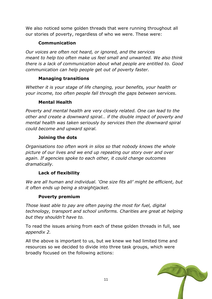We also noticed some golden threads that were running throughout all our stories of poverty, regardless of who we were. These were:

#### **Communication**

*Our voices are often not heard, or ignored, and the services meant to help too often make us feel small and unwanted. We also think there is a lack of communication about what people are entitled to. Good communication can help people get out of poverty faster.* 

#### **Managing transitions**

*Whether it is your stage of life changing, your benefits, your health or your income, too often people fall through the gaps between services.*

#### **Mental Health**

*Poverty and mental health are very closely related. One can lead to the other and create a downward spiral… if the double impact of poverty and mental health was taken seriously by services then the downward spiral could become and upward spiral.*

#### **Joining the dots**

*Organisations too often work in silos so that nobody knows the whole picture of our lives and we end up repeating our story over and over again. If agencies spoke to each other, it could change outcomes dramatically.*

#### **Lack of flexibility**

*We are all human and individual. 'One size fits all' might be efficient, but it often ends up being a straightjacket.* 

#### **Poverty premium**

*Those least able to pay are often paying the most for fuel, digital technology, transport and school uniforms. Charities are great at helping but they shouldn't have to.*

To read the issues arising from each of these golden threads in full, see *appendix 2.*

All the above is important to us, but we knew we had limited time and resources so we decided to divide into three task groups, which were broadly focused on the following actions:

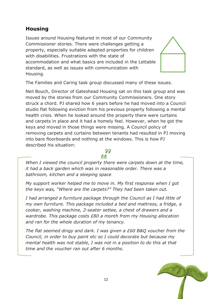# **Housing**

Issues around Housing featured in most of our Community Commissioner stories. There were challenges getting a property, especially suitable adapted properties for children with disabilities. Frustrations with the state of accommodation and what basics are included in the Lettable standard, as well as issues with communication with Housing.



The Families and Caring task group discussed many of these issues.

Neil Bouch, Director of Gateshead Housing sat on this task group and was moved by the stories from our Community Commissioners. One story struck a chord. PJ shared how 6 years before he had moved into a Council studio flat following eviction from his previous property following a mental health crisis. When he looked around the property there were curtains and carpets in place and it had a homely feel. However, when he got the keys and moved in those things were missing. A Council policy of removing carpets and curtains between tenants had resulted in PJ moving into bare floorboards and nothing at the windows. This is how PJ described his situation:

#### 55 RR

*When I viewed the council property there were carpets down at the time, it had a back garden which was in reasonable order. There was a bathroom, kitchen and a sleeping space*

*My support worker helped me to move in. My first response when I got the keys was, "Where are the carpets?" They had been taken out.*

*I had arranged a furniture package through the Council as I had little of my own furniture. This package included a bed and mattress, a fridge, a cooker, washing machine, 2-seater settee, a chest of drawers and a wardrobe. This package costs £80 a month from my Housing allocation and ran for the whole duration of my tenancy.*

*The flat seemed dingy and dark. I was given a £60 B&Q voucher from the Council, in order to buy paint etc so I could decorate but because my mental health was not stable, I was not in a position to do this at that time and the voucher ran out after 6 months.*

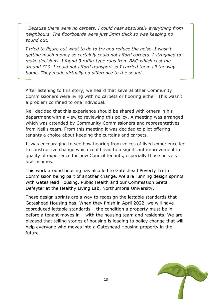*`Because there were no carpets, I could hear absolutely everything from neighbours. The floorboards were just 5mm thick so was keeping no sound out.*

*I tried to figure out what to do to try and reduce the noise. I wasn't getting much money so certainly could not afford carpets. I struggled to make decisions. I found 3 raffia-type rugs from B&Q which cost me around £20. I could not afford transport so I carried them all the way home. They made virtually no difference to the sound.*

After listening to this story, we heard that several other Community Commissioners were living with no carpets or flooring either. This wasn't a problem confined to one individual.

Neil decided that this experience should be shared with others in his department with a view to reviewing this policy. A meeting was arranged which was attended by Community Commissioners and representatives from Neil's team. From this meeting it was decided to pilot offering tenants a choice about keeping the curtains and carpets.

It was encouraging to see how hearing from voices of lived experience led to constructive change which could lead to a significant improvement in quality of experience for new Council tenants, especially those on very low incomes.

This work around housing has also led to Gateshead Poverty Truth Commission being part of another change. We are running design sprints with Gateshead Housing, Public Health and our Commission Greta Defeyter at the Healthy Living Lab, Northumbria University.

These design sprints are a way to redesign the lettable standards that Gateshead Housing has. When they finish in April 2022, we will have coproduced lettable standards – the condition a property must be in before a tenant moves in – with the housing team and residents. We are pleased that telling stories of housing is leading to policy change that will help everyone who moves into a Gateshead Housing property in the future.

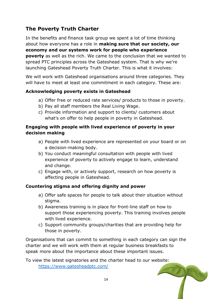# **The Poverty Truth Charter**

In the benefits and finance task group we spent a lot of time thinking about how everyone has a role in **making sure that our society, our economy and our systems work for people who experience poverty** as well as the rich. We came to the conclusion that we wanted to spread PTC principles across the Gateshead system. That is why we're launching Gateshead Poverty Truth Charter. This is what it involves:

We will work with Gateshead organisations around three categories. They will have to meet at least one commitment in each category. These are:

#### **Acknowledging poverty exists in Gateshead**

- a) Offer free or reduced rate services/ products to those in poverty.
- b) Pay all staff members the Real Living Wage.
- c) Provide information and support to clients/ customers about what's on offer to help people in poverty in Gateshead.

#### **Engaging with people with lived experience of poverty in your decision making**

- a) People with lived experience are represented on your board or on a decision-making body.
- b) You conduct meaningful consultation with people with lived experience of poverty to actively engage to learn, understand and change.
- c) Engage with, or actively support, research on how poverty is affecting people in Gateshead.

#### **Countering stigma and offering dignity and power**

- a) Offer safe spaces for people to talk about their situation without stigma.
- b) Awareness training is in place for front-line staff on how to support those experiencing poverty. This training involves people with lived experience.
- c) Support community groups/charities that are providing help for those in poverty.

Organisations that can commit to something in each category can sign the charter and we will work with them at regular business breakfasts to speak more about the importance about these important issues.

To view the latest signatories and the charter head to our website:

<https://www.gatesheadptc.com/>

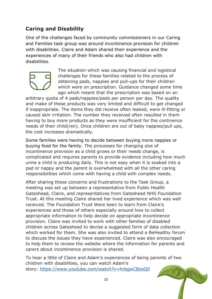# **Caring and Disability**

One of the challenges faced by community commissioners in our Caring and Families task group was around incontinence provision for children with disabilities. Claire and Adam shared their experience and the experiences of many of their friends who also had children with disabilities.



The situation which was causing financial and logistical challenges for these families related to the process of obtaining pads, nappies and pull-ups for their children which were on prescription. Guidance changed some time ago which meant that the prescription was based on an

arbitrary quota of 4 pads/nappies/pads per person per day. The quality and make of these products was very limited and difficult to get changed if inappropriate. The items they did receive often leaked, were ill-fitting or caused skin irritation. The number they received often resulted in them having to buy more products as they were insufficient for the continence needs of their child(ren). Once children are out of baby nappies/pull ups, the cost increases dramatically.

Some families were having to decide between buying more nappies or buying food for the family. The processes for changing size of incontinence provision as a child grows or their needs change, is complicated and requires parents to provide evidence including how much urine a child is producing daily. This is not easy when it is soaked into a pad or nappy and the parent is overwhelmed with all the other caring responsibilities which come with having a child with complex needs.

After sharing these concerns and frustrations to the Task Group, a meeting was set up between a representative from Public Health Gateshead, Claire, and representatives from Gateshead NHS Foundation Trust. At this meeting Claire shared her lived experience which was well received. The Foundation Trust Were keen to learn from Claire's experiences and those of others especially around how to collect appropriate information to help decide on appropriate incontinence provision. Claire was invited to work with other families of disabled children across Gateshead to devise a suggested form of data collection which worked for them. She was also invited to attend a BeHealthy forum to discuss the issues they have experienced. Claire was also encouraged to help them to review the website where the information for parents and carers about incontinence provision is shared.

To hear a little of Claire and Adam's experiences of being parents of two children with disabilities, you can watch Adam's story: <https://www.youtube.com/watch?v=hrbgwCBzeQ0>

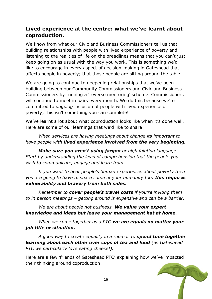# **Lived experience at the centre: what we've learnt about coproduction.**

We know from what our Civic and Business Commissioners tell us that building relationships with people with lived experience of poverty and listening to the realities of life on the breadlines means that you can't just keep going on as usual with the way you work. This is something we'd like to encourage in every aspect of decision-making in Gateshead that affects people in poverty; that those people are sitting around the table.

We are going to continue to deepening relationships that we've been building between our Community Commissioners and Civic and Business Commissioners by running a 'reverse mentoring' scheme. Commissioners will continue to meet in pairs every month. We do this because we're committed to *ongoing* inclusion of people with lived experience of poverty; this isn't something you can complete!

We've learnt a lot about what coproduction looks like when it's done well. Here are some of our learnings that we'd like to share:

*When services are having meetings about change its important to have people with lived experience involved from the very beginning.*

*Make sure you aren't using jargon or high faluting language. Start by understanding the level of comprehension that the people you wish to communicate, engage and learn from.*

*If you want to hear people's human experiences about poverty then you are going to have to share some of your humanity too; this requires vulnerability and bravery from both sides.*

*Remember to cover people's travel costs if you're inviting them to in person meetings – getting around is expensive and can be a barrier.*

*We are about people not business. We value your expert knowledge and ideas but leave your management hat at home.*

*When we come together as a PTC we are equals no matter your job title or situation.* 

*A good way to create equality in a room is to spend time together learning about each other over cups of tea and food (as Gateshead PTC we particularly love eating cheese!).*

Here are a few 'friends of Gateshead PTC' explaining how we've impacted their thinking around coproduction:

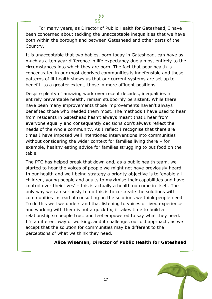For many years, as Director of Public Health for Gateshead, I have been concerned about tackling the unacceptable inequalities that we have both within the borough and between Gateshead and other parts of the Country.

It is unacceptable that two babies, born today in Gateshead, can have as much as a ten year difference in life expectancy due almost entirely to the circumstances into which they are born. The fact that poor health is concentrated in our most deprived communities is indefensible and these patterns of ill-health shows us that our current systems are set up to benefit, to a greater extent, those in more affluent positions.

Despite plenty of amazing work over recent decades, inequalities in entirely preventable health, remain stubbornly persistent. While there have been many improvements those improvements haven't always benefited those who needed them most. The methods I have used to hear from residents in Gateshead hasn't always meant that I hear from everyone equally and consequently decisions don't always reflect the needs of the whole community. As I reflect I recognise that there are times I have imposed well intentioned interventions into communities without considering the wider context for families living there – for example, healthy eating advice for families struggling to put food on the table.

The PTC has helped break that down and, as a public health team, we started to hear the voices of people we might not have previously heard. In our health and well-being strategy a priority objective is to 'enable all children, young people and adults to maximise their capabilities and have control over their lives' – this is actually a health outcome in itself. The only way we can seriously to do this is to co-create the solutions with communities instead of consulting on the solutions we think people need. To do this well we understand that listening to voices of lived experience and working with them is not a quick fix, it takes time to build a relationship so people trust and feel empowered to say what they need. It's a different way of working, and it challenges our old approach, as we accept that the solution for communities may be different to the perceptions of what we think they need.

#### **Alice Wiseman, Director of Public Health for Gateshead**

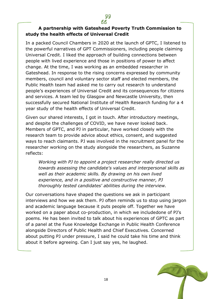#### **A partnership with Gateshead Poverty Truth Commission to study the health effects of Universal Credit**

In a packed Council Chambers in 2020 at the launch of GPTC, I listened to the powerful narratives of GPT Commissioners, including people claiming Universal Credit. I liked the approach of building connections between people with lived experience and those in positions of power to affect change. At the time, I was working as an embedded researcher in Gateshead. In response to the rising concerns expressed by community members, council and voluntary sector staff and elected members, the Public Health team had asked me to carry out research to understand people's experiences of Universal Credit and its consequences for citizens and services. A team led by Glasgow and Newcastle University, then successfully secured National Institute of Health Research funding for a 4 year study of the health effects of Universal Credit.

Given our shared interests, I got in touch. After introductory meetings, and despite the challenges of COVID, we have never looked back. Members of GPTC, and PJ in particular, have worked closely with the research team to provide advice about ethics, consent, and suggested ways to reach claimants. PJ was involved in the recruitment panel for the researcher working on the study alongside the researchers, as Suzanne reflects:

*Working with PJ to appoint a project researcher really directed us towards assessing the candidate's values and interpersonal skills as well as their academic skills. By drawing on his own lived experience, and in a positive and constructive manner, PJ thoroughly tested candidates' abilities during the interview.* 

Our conversations have shaped the questions we ask in participant interviews and how we ask them. PJ often reminds us to stop using jargon and academic language because it puts people off. Together we have worked on a paper about co-production, in which we includedone of PJ's poems. He has been invited to talk about his experiences of GPTC as part of a panel at the Fuse Knowledge Exchange in Public Health Conference alongside Directors of Public Health and Chief Executives. Concerned about putting PJ under pressure, I said he could take his time and think about it before agreeing. Can I just say yes, he laughed.

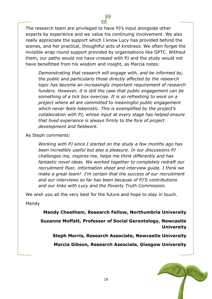The research team are privileged to have PJ's input alongside other experts by experience and we value his continuing involvement. We also really appreciate the support which I know Lucy has provided behind the scenes, and her practical, thoughtful acts of kindness. We often forget the invisible wrap round support provided by organisations like GPTC. Without them, our paths would not have crossed with PJ and the study would not have benefitted from his wisdom and insight, as Marcia notes:

*Demonstrating that research will engage with, and be informed by, the public and particularly those directly affected by the research topic has become an increasingly important requirement of research funders. However, it is still the case that public engagement can be something of a tick box exercise. It is so refreshing to work on a project where all are committed to meaningful public engagement which never feels tokenistic. This is exemplified by the project's collaboration with PJ, whose input at every stage has helped ensure that lived experience is always firmly to the fore of project development and fieldwork.*

As Steph comments:

*Working with PJ since I started on the study a few months ago has been incredibly useful but also a pleasure. In our discussions PJ challenges me, inspires me, helps me think differently and has fantastic novel ideas. We worked together to completely redraft our recruitment flyer, information sheet and interview guide. I think we make a great team! I'm certain that the success of our recruitment and our interviews so far has been because of PJ'S contributions and our links with Lucy and the Poverty Truth Commission.*

We wish you all the very best for the future and hope to stay in touch.

Mandy

**Mandy Cheetham, Research Fellow, Northumbria University**

**Suzanne Moffatt, Professor of Social Gerontology, Newcastle University**

**Steph Morris, Research Associate, Newcastle University**

**Marcia Gibson, Research Associate, Glasgow University**

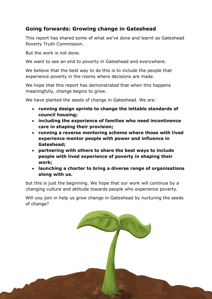# **Going forwards: Growing change in Gateshead**

This report has shared some of what we've done and learnt as Gateshead Poverty Truth Commission.

But the work is not done.

We want to see an end to poverty in Gateshead and everywhere.

We believe that the best way to do this is to include the people that experience poverty in the rooms where decisions are made.

We hope that this report has demonstrated that when this happens meaningfully, change begins to grow.

We have planted the seeds of change in Gateshead. We are:

- **running design sprints to change the lettable standards of council housing;**
- **including the experience of families who need incontinence care in shaping their provision;**
- **running a reverse mentoring scheme where those with lived experience mentor people with power and influence in Gateshead;**
- **partnering with others to share the best ways to include people with lived experience of poverty in shaping their work;**
- **launching a charter to bring a diverse range of organisations along with us.**

but this is just the beginning. We hope that our work will continue by a changing culture and attitude towards people who experience poverty.

Will you join in help us grow change in Gateshead by nurturing the seeds of change?

m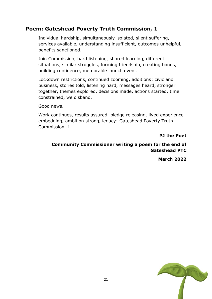# **Poem: Gateshead Poverty Truth Commission, 1**

Individual hardship, simultaneously isolated, silent suffering, services available, understanding insufficient, outcomes unhelpful, benefits sanctioned.

Join Commission, hard listening, shared learning, different situations, similar struggles, forming friendship, creating bonds, building confidence, memorable launch event.

Lockdown restrictions, continued zooming, additions: civic and business, stories told, listening hard, messages heard, stronger together, themes explored, decisions made, actions started, time constrained, we disband.

Good news.

Work continues, results assured, pledge releasing, lived experience embedding, ambition strong, legacy: Gateshead Poverty Truth Commission, 1.

**PJ the Poet**

#### **Community Commissioner writing a poem for the end of Gateshead PTC**

**March 2022**

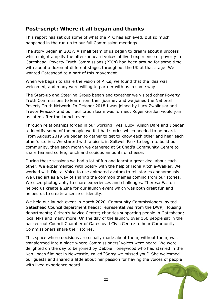# **Post-script: Where it all began and thanks**

This report has set out some of what the PTC has achieved. But so much happened in the run up to our full Commission meetings.

The story began in 2017. A small team of us began to dream about a process which might amplify the often-unheard voices of lived experience of poverty in Gateshead. Poverty Truth Commissions (PTCs) had been around for some time with about a dozen at different stages throughout the UK at that stage. We wanted Gateshead to a part of this movement.

When we began to share the vision of PTCs, we found that the idea was welcomed, and many were willing to partner with us in some way.

The Start-up and Steering Group began and together we visited other Poverty Truth Commissions to learn from their journey and we joined the National Poverty Truth Network. In October 2018 I was joined by Lucy Zwolinska and Trevor Peacock and our facilitation team was formed. Roger Gordon would join us later, after the launch event.

Through relationships forged in our working lives, Lucy, Alison Dare and I began to identify some of the people we felt had stories which needed to be heard. From August 2019 we began to gather to get to know each other and hear each other's stories. We started with a picnic in Saltwell Park to begin to build our community, then each month we gathered at St Chad's Community Centre to share tea and coffee, lunch and copious amounts of cheese.

During these sessions we had a lot of fun and learnt a great deal about each other. We experimented with poetry with the help of Fiona Ritchie-Walker. We worked with Digital Voice to use animated avatars to tell stories anonymously. We used art as a way of sharing the common themes coming from our stories. We used photography to share experiences and challenges. Theresa Easton helped us create a Zine for our launch event which was both great fun and helped us to create a sense of identity.

We held our launch event in March 2020. Community Commissioners invited Gateshead Council department heads; representatives from the DWP; Housing departments; Citizen's Advice Centre; charities supporting people in Gateshead; local MPs and many more. On the day of the launch, over 150 people sat in the packed-out Council Chamber of Gateshead Civic Centre to hear Community Commissioners share their stories.

This space where decisions are usually made about them, without them, was transformed into a place where Commissioners' voices were heard. We were delighted on the day to be joined by Debbie Honeywood who had starred in the Ken Loach film set in Newcastle, called "Sorry we missed you". She welcomed our guests and shared a little about her passion for having the voices of people with lived experience heard.

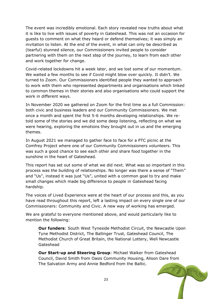The event was incredibly emotional. Each story revealed new truths about what it is like to live with issues of poverty in Gateshead. This was not an occasion for guests to comment on what they heard or defend themselves; it was simply an invitation to listen. At the end of the event, in what can only be described as (tearful) stunned silence, our Commissioners invited people to consider partnering with them on the next step of the journey, to learn from each other and work together for change.

Covid-related lockdowns hit a week later, and we lost some of our momentum. We waited a few months to see if Covid might blow over quickly. It didn't. We turned to Zoom. Our Commissioners identified people they wanted to approach to work with them who represented departments and organisations which linked to common themes in their stories and also organisations who could support the work in different ways.

In November 2020 we gathered on Zoom for the first time as a full Commission: both civic and business leaders and our Community Commissioners. We met once a month and spent the first 5-6 months developing relationships. We retold some of the stories and we did some deep listening, reflecting on what we were hearing, exploring the emotions they brought out in us and the emerging themes.

In August 2021 we managed to gather face to face for a PTC picnic at the Comfrey Project where one of our Community Commissioners volunteers. This was such a good chance to see each other and share food together in the sunshine in the heart of Gateshead.

This report has set out some of what we did next. What was so important in this process was the building of relationships. No longer was there a sense of "Them" and "Us", instead it was just "Us", united with a common goal to try and make small changes which made big difference to people in Gateshead facing hardship.

The voices of Lived Experience were at the heart of our process and this, as you have read throughout this report, left a lasting impact on every single one of our Commissioners: Community and Civic. A new way of working has emerged.

We are grateful to everyone mentioned above, and would particularly like to mention the following:

**Our funders**: South West Tyneside Methodist Circuit, the Newcastle Upon Tyne Methodist District, The Ballinger Trust, Gateshead Council, The Methodist Church of Great Britain, the National Lottery, Well Newcastle Gateshead

**Our Start-up and Steering Group**: Michael Walker from Gateshead Council, David Smith from Oasis Community Housing, Alison Dare from The Salvation Army and Annie Bedford from the Baltic.

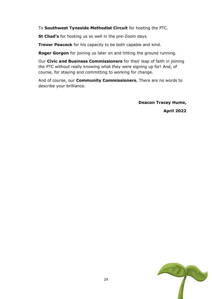To **Southwest Tyneside Methodist Circuit** for hosting the PTC.

**St Chad's** for hosting us so well in the pre-Zoom days.

**Trevor Peacock** for his capacity to be both capable and kind.

**Roger Gorgon** for joining us later on and hitting the ground running.

Our **Civic and Business Commissioners** for their leap of faith in joining the PTC without really knowing what they were signing up for! And, of course, for staying and committing to working for change.

And of course, our **Community Commissioners.** There are no words to describe your brilliance.

> **Deacon Tracey Hume, April 2022**

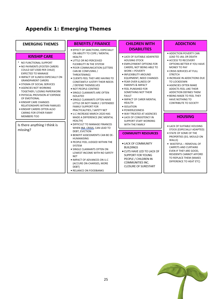# **Appendix 1: Emerging Themes**

| <b>EMERGING THEMES</b>                                                                                                                                                                                                                                                                                                                                                                                    | <b>BENEFITS / FINANCE</b><br>· EFFECT OF SANCTIONS, ESPECIALLY                                                                                                                                                                                                                                                                                                                                                            | <b>CHILDREN WITH</b><br><b>DISABILITIES</b>                                                                                                                                                                                                                                                                                                  | <b>ADDICTION</b>                                                                                                                                                                                                                                                                                                                                                                          |
|-----------------------------------------------------------------------------------------------------------------------------------------------------------------------------------------------------------------------------------------------------------------------------------------------------------------------------------------------------------------------------------------------------------|---------------------------------------------------------------------------------------------------------------------------------------------------------------------------------------------------------------------------------------------------------------------------------------------------------------------------------------------------------------------------------------------------------------------------|----------------------------------------------------------------------------------------------------------------------------------------------------------------------------------------------------------------------------------------------------------------------------------------------------------------------------------------------|-------------------------------------------------------------------------------------------------------------------------------------------------------------------------------------------------------------------------------------------------------------------------------------------------------------------------------------------------------------------------------------------|
| <b>KINSHIP CARE</b><br>* NO FUNCTIONAL SUPPORT<br>. NO PAYMENTS (FOSTER CARERS<br>COULD GET £500 PER CHILD)<br><b>EXPECTED TO MANAGE</b><br>. IMPACT OF ILLNESS ESPECIALLY ON<br>GRANDPARENT CARERS<br>• STIGMA OF SOCIAL SERVICES<br>• AGENCIES NOT WORKING<br>TOGETHER / LOSING PAPERWORK<br>· PHYSICAL PROVISION AT EXPENSE<br>OF EMOTIONAL<br>• KINSHIP CARE CHANGES<br>RELATIONSHIPS WITHIN FAMILIES | ON ABILITY TO COPE / MENTAL<br><b>HEALTH</b><br>· LITTLE OR NO PERCEIVED<br>FLEXIBILITY IN THE SYSTEM<br>. POOR COMMUNICATION (LETTERS<br>CAN BE CONFUSING /<br>THREATENING)<br>. CLIENTS FEEL THEY ARE HAVING TO<br>CONSTANTLY JUSTIFY THEIR NEEDS<br>/ DEFEND THEMSELVES<br>• NOT PEOPLE-CENTRED<br>• SINGLE CLAIMANTS ARE OFTEN<br><b>ISOLATED</b><br>• SINGLE CLAIMANTS OFTEN HAVE<br>LITTLE OR NOT FAMILY / EXTENDED | • LACK OF SUITABLE ADAPATED<br><b>HOUSING STOCK</b><br>• EMPLOYMENT OPTIONS FOR<br>CARERS, NOT BEING ABLE TO<br>WORK = POVERTY<br>· INFLEXIBILITY AROUND<br>EQUIPMENT, NEED CHANGES<br>· FEAR OVER ILLNESS OF<br>PARENTS & IMPACT<br>· FEEL PUNSIHED FOR<br>SOMETHING NOT THEIR<br><b>FAULT</b><br>· IMPACT OF CARER MENTAL<br><b>HEALTH</b> | • ADDICTION POVERTY CAN<br>LEAD TO JAIL OR DEATH<br>• ACCESS TO RECOVERY<br>OPTIONS BETTER IF YOU HAVE<br>MONEY TO PAY<br>• CRISIS SERVICES AT FULL<br><b>STRETCH</b><br>. INCREASE IN ADDICTIONS DUE<br>TO LOCKDOWN<br>• AGENCIES OFTEN MAKE<br>ADDICTS FEEL LIKE THEIR<br>ADDICTION DEFINES THEM<br>. BEING MADE TO FEEL THEY<br><b>HAVE NOTHING TO</b><br><b>CONTRIBUTE TO SOCIETY</b> |
| • KINSHIP CARERS OFTEN ALSO<br>CARING FOR OTHER FAMIY<br>MEMBERS TOO<br>Is there anything I think is                                                                                                                                                                                                                                                                                                      | <b>FAMILY SUPPORT FOR</b><br>PRACTICALITIES / SAFETY NET<br>. U.C INCREASE MARCH 2020 HAS<br>MADE A DIFFERENCE (INC MENTAL<br>HEALTH)<br>. DIFFICULT TO MANAGE FINANCES                                                                                                                                                                                                                                                   | · ISOLATION<br>· POWERLESSNESS<br>. WAY TREATED AT AGENCIES<br>. LACK OF CONSISTENCY IN<br>SUPPORT STAFF WORKING<br>WITH THE FAMILY                                                                                                                                                                                                          | <b>HOUSING</b><br>. LACK OF SUITABLE HOUSING                                                                                                                                                                                                                                                                                                                                              |
| missing?                                                                                                                                                                                                                                                                                                                                                                                                  | WHEN INA CRISIS, CAN LEAD TO<br>DEBT, EVICTION<br>. BENEFIT ASSESSMENTS CAN BE DE-<br>HUMANISING<br>· PEOPLE FEEL JUDGED WITHIN THE<br>SYSTEM<br>• SINGLE CLAIMANTS OFTEN ON<br>LOWEST INCOME WITH NO SAFETY<br>NET<br>. IMPACT OF ADVANCES ON U.C.<br>(ACCURE ON-CHARGES, MORE<br>DEBT)<br>· RELIANCE ON FOODBANKS                                                                                                       | <b>COMMUNITY RESOURCES</b><br>• LACK OF COMMUNITY<br><b>BUILDINGS</b><br>. CUTS HAVE LED TO LACK OF<br>SUPPORT FOR YOUNG<br>PEOPLE / CHILDREN IN<br>COMMUNITIES INC.<br><b>CLOSURE OF SURESTART</b>                                                                                                                                          | STOCK (ESPECIALLY ADAPTED)<br>• STATE OF SOME OF THE<br>PROPERTIES (EG. MOULD ON<br>WALLS)<br>· WASTEFUL - REMOVAL OF<br>CARPETS AND CURTAINS<br>EVEN IF THEY ARE GOOD,<br>RESIDENTS CANNOT AFFORD<br>TO REPLACE THEM (MAKES<br>DIFFERENCE TO HEAT ETC)                                                                                                                                   |